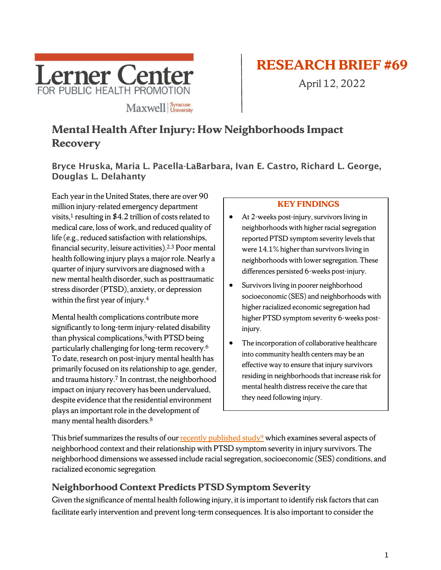

# **RESEARCH BRIEF #69**

April 12, 2022

# **Mental Health After Injury: How Neighborhoods Impact Recovery**

Bryce Hruska, Maria L. Pacella-LaBarbara, Ivan E. Castro, Richard L. George, Douglas L. Delahanty

Each year in the United States, there are over 90 million injury-related emergency department visits, <sup>1</sup> resulting in \$4.2 trillion of costs related to medical care, loss of work, and reduced quality of life (e.g., reduced satisfaction with relationships, financial security, leisure activities). 2,3 Poor mental health following injury plays a major role. Nearly a quarter of injury survivors are diagnosed with a new mental health disorder, such as posttraumatic stress disorder (PTSD), anxiety, or depression within the first year of injury. 4

Mental health complications contribute more significantly to long-term injury-related disability than physical complications, 5with PTSD being particularly challenging for long-term recovery.6 To date, research on post-injury mental health has primarily focused on its relationship to age, gender, and trauma history. <sup>7</sup> In contrast, the neighborhood impact on injury recovery has been undervalued, despite evidence that the residential environment plays an important role in the development of many mental health disorders.8

#### **KEY FINDINGS**

- At 2-weeks post-injury, survivors living in neighborhoods with higher racial segregation reported PTSD symptom severity levels that were 14.1% higher than survivors living in neighborhoods with lower segregation. These differences persisted 6-weeks post-injury.
- Survivors living in poorer neighborhood socioeconomic (SES) and neighborhoods with higher racialized economic segregation had higher PTSD symptom severity 6-weeks postinjury.
- The incorporation of collaborative healthcare into community health centers may be an effective way to ensure that injury survivors residing in neighborhoods that increase risk for mental health distress receive the care that they need following injury.

This brief summarizes the results of our recently published study<sup>9</sup> which examines several aspects of neighborhood context and their relationship with PTSD symptom severity in injury survivors. The neighborhood dimensions we assessed include racial segregation, socioeconomic (SES) conditions, and racialized economic segregation.

### **Neighborhood Context Predicts PTSD Symptom Severity**

Given the significance of mental health following injury, it is important to identify risk factors that can facilitate early intervention and prevent long-term consequences. It is also important to consider the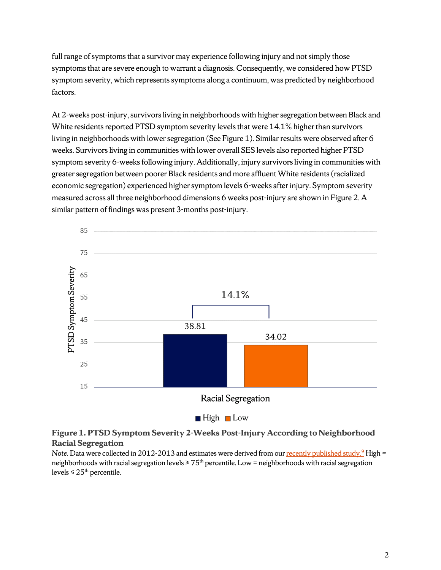full range of symptoms that a survivor may experience following injury and not simply those symptoms that are severe enough to warrant a diagnosis. Consequently, we considered how PTSD symptom severity, which represents symptoms along a continuum, was predicted by neighborhood factors.

At 2-weeks post-injury, survivors living in neighborhoods with higher segregation between Black and White residents reported PTSD symptom severity levels that were 14.1% higher than survivors living in neighborhoods with lower segregation (See Figure 1). Similar results were observed after 6 weeks. Survivors living in communities with lower overall SES levels also reported higher PTSD symptom severity 6-weeks following injury. Additionally, injury survivors living in communities with greater segregation between poorer Black residents and more affluent White residents (racialized economic segregation) experienced higher symptom levels 6-weeks after injury. Symptom severity measured across all three neighborhood dimensions 6 weeks post-injury are shown in Figure 2. A similar pattern of findings was present 3-months post-injury.



#### **Figure 1. PTSD Symptom Severity 2-Weeks Post-Injury According to Neighborhood Racial Segregation**

*Note.* Data were collected in 2012-2013 and estimates were derived from our recently published study.<sup>9</sup> High = neighborhoods with racial segregation levels  $\geq 75<sup>th</sup>$  percentile, Low = neighborhoods with racial segregation levels  $\leq 25^{\text{th}}$  percentile.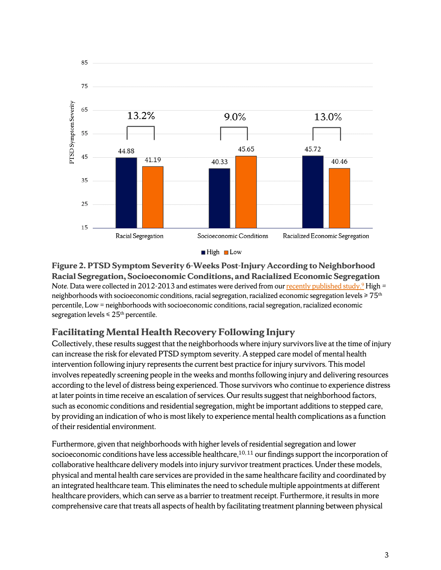

**Figure 2. PTSD Symptom Severity 6-Weeks Post-Injury According to Neighborhood Racial Segregation, Socioeconomic Conditions, and Racialized Economic Segregation** *Note.* Data were collected in 2012-2013 and estimates were derived from our recently published study.<sup>9</sup> High = neighborhoods with socioeconomic conditions, racial segregation, racialized economic segregation levels ≥ 75th percentile, Low = neighborhoods with socioeconomic conditions, racial segregation, racialized economic segregation levels  $\leq 25$ <sup>th</sup> percentile.

### **Facilitating Mental Health Recovery Following Injury**

Collectively, these results suggest that the neighborhoods where injury survivors live at the time of injury can increase the risk for elevated PTSD symptom severity. A stepped care model of mental health intervention following injury represents the current best practice for injury survivors. This model involves repeatedly screening people in the weeks and months following injury and delivering resources according to the level of distress being experienced. Those survivors who continue to experience distress at later points in time receive an escalation of services. Our results suggest that neighborhood factors, such as economic conditions and residential segregation, might be important additions to stepped care, by providing an indication of who is most likely to experience mental health complications as a function of their residential environment.

Furthermore, given that neighborhoods with higher levels of residential segregation and lower socioeconomic conditions have less accessible healthcare, $^{10,11}$  our findings support the incorporation of collaborative healthcare delivery models into injury survivor treatment practices. Under these models, physical and mental health care services are provided in the same healthcare facility and coordinated by an integrated healthcare team. This eliminates the need to schedule multiple appointments at different healthcare providers, which can serve as a barrier to treatment receipt. Furthermore, it results in more comprehensive care that treats all aspects of health by facilitating treatment planning between physical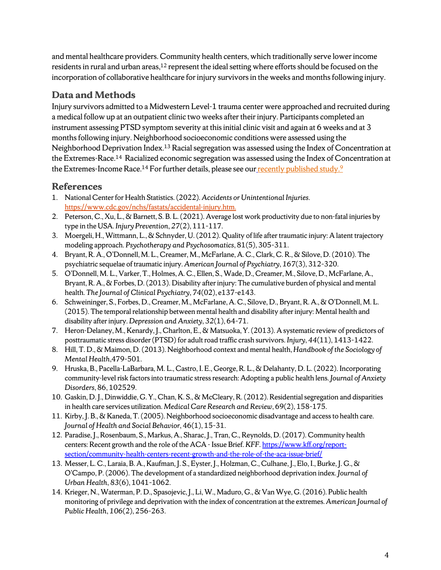and mental healthcare providers. Community health centers, which traditionally serve lower income residents in rural and urban areas,<sup>12</sup> represent the ideal setting where efforts should be focused on the incorporation of collaborative healthcare for injury survivors in the weeks and months following injury.

#### **Data and Methods**

Injury survivors admitted to a Midwestern Level-1 trauma center were approached and recruited during a medical follow up at an outpatient clinic two weeks after their injury. Participants completed an instrument assessing PTSD symptom severity at this initial clinic visit and again at 6 weeks and at 3 months following injury. Neighborhood socioeconomic conditions were assessed using the Neighborhood Deprivation Index.13 Racial segregation was assessed using the Index of Concentration at the Extremes-Race.<sup>14</sup> Racialized economic segregation was assessed using the Index of Concentration at the Extremes-Income Race.<sup>14</sup> For further details, please see our recently published study.<sup>9</sup>

## **References**

- 1. National Center for Health Statistics. (2022). *Accidents or Unintentional Injuries*. [https://www.cdc.gov/nchs/fastats/accidental-injury.htm.](https://www.cdc.gov/nchs/fastats/accidental-injury.htm)
- 2. Peterson, C., Xu, L., & Barnett, S. B. L. (2021). Average lost work productivity due to non-fatal injuries by type in the USA. *Injury Prevention*, *27*(2), 111–117.
- 3. Moergeli, H., Wittmann, L., & Schnyder, U. (2012). Quality of life after traumatic injury: A latent trajectory modeling approach. *Psychotherapy and Psychosomatics*, 81(5), 305–311.
- 4. Bryant, R. A., O'Donnell, M. L., Creamer, M., McFarlane, A. C., Clark, C. R., & Silove, D. (2010). The psychiatric sequelae of traumatic injury. *American Journal of Psychiatry*, *167*(3), 312–320.
- 5. O'Donnell, M. L., Varker, T., Holmes, A. C., Ellen, S., Wade, D., Creamer, M., Silove, D., McFarlane, A., Bryant, R. A., & Forbes, D. (2013). Disability after injury: The cumulative burden of physical and mental health. *The Journal of Clinical Psychiatry*, *74*(02), e137–e143.
- 6. Schweininger, S., Forbes, D., Creamer, M., McFarlane, A. C., Silove, D., Bryant, R. A., & O'Donnell, M. L. (2015). The temporal relationship between mental health and disability after injury: Mental health and disability after injury. *Depression and Anxiety*, *32*(1), 64–71.
- 7. Heron-Delaney, M., Kenardy, J., Charlton, E., & Matsuoka, Y. (2013). A systematic review of predictors of posttraumatic stress disorder (PTSD) for adult road traffic crash survivors. *Injury*, *44*(11), 1413–1422.
- 8. Hill, T. D., & Maimon, D. (2013). Neighborhood context and mental health, *Handbook of the Sociology of Mental Health*,479–501.
- 9. Hruska, B., Pacella-LaBarbara, M. L., Castro, I. E., George, R. L., & Delahanty, D. L. (2022). Incorporating community-level risk factors into traumatic stress research: Adopting a public health lens. *Journal of Anxiety Disorders*, 86, 102529.
- 10. Gaskin, D. J., Dinwiddie, G. Y., Chan, K. S., & McCleary, R. (2012). Residential segregation and disparities in health care services utilization. *Medical Care Research and Review*, 69(2), 158–175.
- 11. Kirby, J. B., & Kaneda, T. (2005). Neighborhood socioeconomic disadvantage and access to health care. *Journal of Health and Social Behavior*, 46(1), 15–31.
- 12. Paradise, J., Rosenbaum, S., Markus, A., Sharac, J., Tran, C., Reynolds, D. (2017). Community health centers: Recent growth and the role of the ACA - Issue Brief. *KFF*[. https://www.kff.org/report](https://www.kff.org/report-section/community-health-centers-recent-growth-and-the-role-of-the-aca-issue-brief/)[section/community-health-centers-recent-growth-and-the-role-of-the-aca-issue-brief/](https://www.kff.org/report-section/community-health-centers-recent-growth-and-the-role-of-the-aca-issue-brief/)
- 13. Messer, L. C., Laraia, B. A., Kaufman, J. S., Eyster, J., Holzman, C., Culhane, J., Elo, I., Burke, J. G., & O'Campo, P. (2006). The development of a standardized neighborhood deprivation index. *Journal of Urban Health*, *83*(6), 1041–1062.
- 14. Krieger, N., Waterman, P. D., Spasojevic, J., Li, W., Maduro, G., & Van Wye, G. (2016). Public health monitoring of privilege and deprivation with the index of concentration at the extremes. *American Journal of Public Health*, *106*(2), 256–263.